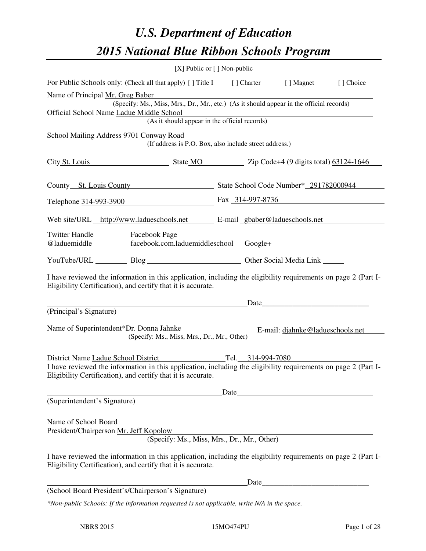# *U.S. Department of Education 2015 National Blue Ribbon Schools Program*

|                                                                                                                                                                                |                                                                                          | [X] Public or $[$ ] Non-public |           |
|--------------------------------------------------------------------------------------------------------------------------------------------------------------------------------|------------------------------------------------------------------------------------------|--------------------------------|-----------|
| For Public Schools only: (Check all that apply) [] Title I [] Charter [] Magnet                                                                                                |                                                                                          |                                | [] Choice |
| Name of Principal Mr. Greg Baber                                                                                                                                               |                                                                                          |                                |           |
| Official School Name Ladue Middle School                                                                                                                                       | (Specify: Ms., Miss, Mrs., Dr., Mr., etc.) (As it should appear in the official records) |                                |           |
|                                                                                                                                                                                | (As it should appear in the official records)                                            |                                |           |
| School Mailing Address 9701 Conway Road                                                                                                                                        |                                                                                          |                                |           |
|                                                                                                                                                                                | (If address is P.O. Box, also include street address.)                                   |                                |           |
| City St. Louis State MO Zip Code+4 (9 digits total) 63124-1646                                                                                                                 |                                                                                          |                                |           |
| County St. Louis County State School Code Number* 291782000944                                                                                                                 |                                                                                          |                                |           |
| Telephone 314-993-3900 Fax 314-997-8736                                                                                                                                        |                                                                                          |                                |           |
| Web site/URL http://www.ladueschools.net E-mail gbaber@ladueschools.net                                                                                                        |                                                                                          |                                |           |
| Twitter Handle Facebook Page<br>@laduemiddle facebook.com.laduemiddleschool Google+                                                                                            |                                                                                          |                                |           |
| YouTube/URL Blog Blog Discount Other Social Media Link                                                                                                                         |                                                                                          |                                |           |
| I have reviewed the information in this application, including the eligibility requirements on page 2 (Part I-<br>Eligibility Certification), and certify that it is accurate. |                                                                                          |                                |           |
|                                                                                                                                                                                |                                                                                          |                                |           |
| (Principal's Signature)                                                                                                                                                        |                                                                                          |                                |           |
| Name of Superintendent*Dr. Donna Jahnke<br>E-mail: djahnke@ladueschools.net                                                                                                    | (Specify: Ms., Miss, Mrs., Dr., Mr., Other)                                              |                                |           |
| District Name Ladue School District Tel. 314-994-7080                                                                                                                          |                                                                                          |                                |           |
| I have reviewed the information in this application, including the eligibility requirements on page 2 (Part I-<br>Eligibility Certification), and certify that it is accurate. |                                                                                          |                                |           |
|                                                                                                                                                                                |                                                                                          | Date                           |           |
| (Superintendent's Signature)                                                                                                                                                   |                                                                                          |                                |           |
| Name of School Board<br>President/Chairperson Mr. Jeff Kopolow                                                                                                                 | (Specify: Ms., Miss, Mrs., Dr., Mr., Other)                                              |                                |           |
| I have reviewed the information in this application, including the eligibility requirements on page 2 (Part I-<br>Eligibility Certification), and certify that it is accurate. |                                                                                          |                                |           |
|                                                                                                                                                                                |                                                                                          | Date                           |           |
| (School Board President's/Chairperson's Signature)                                                                                                                             |                                                                                          |                                |           |
| *Non-public Schools: If the information requested is not applicable, write N/A in the space.                                                                                   |                                                                                          |                                |           |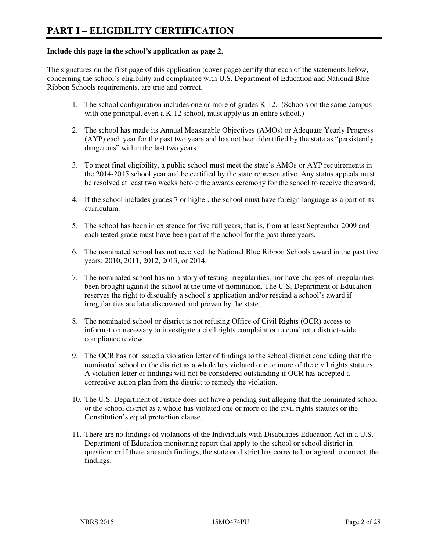#### **Include this page in the school's application as page 2.**

The signatures on the first page of this application (cover page) certify that each of the statements below, concerning the school's eligibility and compliance with U.S. Department of Education and National Blue Ribbon Schools requirements, are true and correct.

- 1. The school configuration includes one or more of grades K-12. (Schools on the same campus with one principal, even a K-12 school, must apply as an entire school.)
- 2. The school has made its Annual Measurable Objectives (AMOs) or Adequate Yearly Progress (AYP) each year for the past two years and has not been identified by the state as "persistently dangerous" within the last two years.
- 3. To meet final eligibility, a public school must meet the state's AMOs or AYP requirements in the 2014-2015 school year and be certified by the state representative. Any status appeals must be resolved at least two weeks before the awards ceremony for the school to receive the award.
- 4. If the school includes grades 7 or higher, the school must have foreign language as a part of its curriculum.
- 5. The school has been in existence for five full years, that is, from at least September 2009 and each tested grade must have been part of the school for the past three years.
- 6. The nominated school has not received the National Blue Ribbon Schools award in the past five years: 2010, 2011, 2012, 2013, or 2014.
- 7. The nominated school has no history of testing irregularities, nor have charges of irregularities been brought against the school at the time of nomination. The U.S. Department of Education reserves the right to disqualify a school's application and/or rescind a school's award if irregularities are later discovered and proven by the state.
- 8. The nominated school or district is not refusing Office of Civil Rights (OCR) access to information necessary to investigate a civil rights complaint or to conduct a district-wide compliance review.
- 9. The OCR has not issued a violation letter of findings to the school district concluding that the nominated school or the district as a whole has violated one or more of the civil rights statutes. A violation letter of findings will not be considered outstanding if OCR has accepted a corrective action plan from the district to remedy the violation.
- 10. The U.S. Department of Justice does not have a pending suit alleging that the nominated school or the school district as a whole has violated one or more of the civil rights statutes or the Constitution's equal protection clause.
- 11. There are no findings of violations of the Individuals with Disabilities Education Act in a U.S. Department of Education monitoring report that apply to the school or school district in question; or if there are such findings, the state or district has corrected, or agreed to correct, the findings.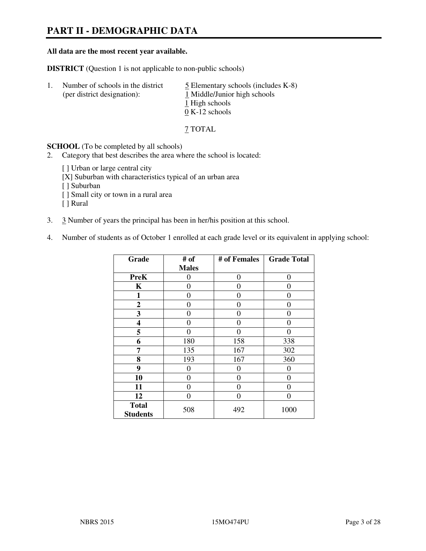# **PART II - DEMOGRAPHIC DATA**

#### **All data are the most recent year available.**

**DISTRICT** (Question 1 is not applicable to non-public schools)

| $\perp$ | Number of schools in the district<br>(per district designation): | $\overline{5}$ Elementary schools (includes K-8)<br>1 Middle/Junior high schools<br>1 High schools |
|---------|------------------------------------------------------------------|----------------------------------------------------------------------------------------------------|
|         |                                                                  | $0 K-12$ schools                                                                                   |

7 TOTAL

**SCHOOL** (To be completed by all schools)

- 2. Category that best describes the area where the school is located:
	- [ ] Urban or large central city
	- [X] Suburban with characteristics typical of an urban area
	- [ ] Suburban
	- [ ] Small city or town in a rural area
	- [ ] Rural
- 3. 3 Number of years the principal has been in her/his position at this school.
- 4. Number of students as of October 1 enrolled at each grade level or its equivalent in applying school:

| Grade                           | # of         | # of Females | <b>Grade Total</b> |
|---------------------------------|--------------|--------------|--------------------|
|                                 | <b>Males</b> |              |                    |
| <b>PreK</b>                     | 0            | $\theta$     | $\theta$           |
| K                               | 0            | $\theta$     | $\theta$           |
| 1                               | 0            | 0            | $\theta$           |
| $\mathbf{2}$                    | 0            | 0            | 0                  |
| 3                               | 0            | 0            | 0                  |
| 4                               | 0            | $\Omega$     | 0                  |
| 5                               | 0            | 0            | $\theta$           |
| 6                               | 180          | 158          | 338                |
| 7                               | 135          | 167          | 302                |
| 8                               | 193          | 167          | 360                |
| 9                               | 0            | 0            | 0                  |
| 10                              | 0            | 0            | 0                  |
| 11                              | 0            | 0            | $\theta$           |
| 12                              | 0            | 0            | $\theta$           |
| <b>Total</b><br><b>Students</b> | 508          | 492          | 1000               |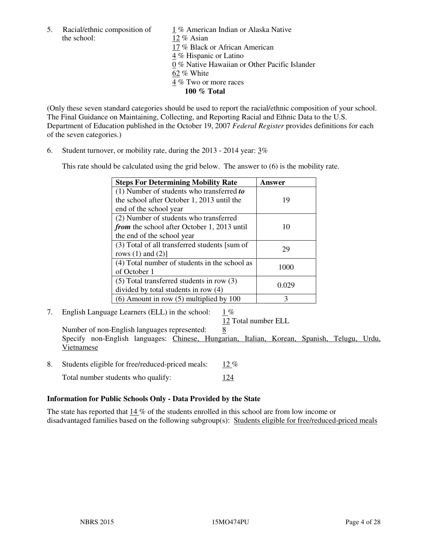the school: 12 % Asian

5. Racial/ethnic composition of 1 % American Indian or Alaska Native 17 % Black or African American 4 % Hispanic or Latino 0 % Native Hawaiian or Other Pacific Islander 62 % White 4 % Two or more races **100 % Total** 

(Only these seven standard categories should be used to report the racial/ethnic composition of your school. The Final Guidance on Maintaining, Collecting, and Reporting Racial and Ethnic Data to the U.S. Department of Education published in the October 19, 2007 *Federal Register* provides definitions for each of the seven categories.)

6. Student turnover, or mobility rate, during the 2013 - 2014 year: 3%

This rate should be calculated using the grid below. The answer to (6) is the mobility rate.

| <b>Steps For Determining Mobility Rate</b>         | Answer |
|----------------------------------------------------|--------|
| $(1)$ Number of students who transferred to        |        |
| the school after October 1, 2013 until the         | 19     |
| end of the school year                             |        |
| (2) Number of students who transferred             |        |
| <i>from</i> the school after October 1, 2013 until | 10     |
| the end of the school year                         |        |
| (3) Total of all transferred students [sum of      | 29     |
| rows $(1)$ and $(2)$ ]                             |        |
| (4) Total number of students in the school as      | 1000   |
| of October 1                                       |        |
| $(5)$ Total transferred students in row $(3)$      | 0.029  |
| divided by total students in row (4)               |        |
| $(6)$ Amount in row $(5)$ multiplied by 100        | 3      |

7. English Language Learners (ELL) in the school: 1 %

12 Total number ELL

Number of non-English languages represented: 8 Specify non-English languages: Chinese, Hungarian, Italian, Korean, Spanish, Telugu, Urdu, Vietnamese

- 8. Students eligible for free/reduced-priced meals: 12 %
	- Total number students who qualify: 124

#### **Information for Public Schools Only - Data Provided by the State**

The state has reported that  $14\%$  of the students enrolled in this school are from low income or disadvantaged families based on the following subgroup(s): Students eligible for free/reduced-priced meals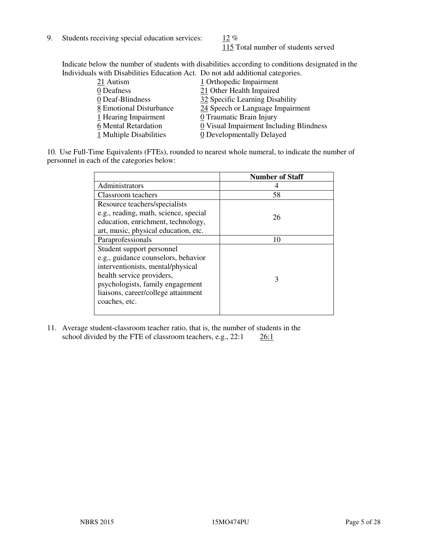9. Students receiving special education services:  $12\%$ 

115 Total number of students served

Indicate below the number of students with disabilities according to conditions designated in the Individuals with Disabilities Education Act. Do not add additional categories.

| 21 Autism               | 1 Orthopedic Impairment                 |
|-------------------------|-----------------------------------------|
| 0 Deafness              | 21 Other Health Impaired                |
| 0 Deaf-Blindness        | 32 Specific Learning Disability         |
| 8 Emotional Disturbance | 24 Speech or Language Impairment        |
| 1 Hearing Impairment    | 0 Traumatic Brain Injury                |
| 6 Mental Retardation    | 0 Visual Impairment Including Blindness |
| 1 Multiple Disabilities | 0 Developmentally Delayed               |
|                         |                                         |

10. Use Full-Time Equivalents (FTEs), rounded to nearest whole numeral, to indicate the number of personnel in each of the categories below:

|                                       | <b>Number of Staff</b> |
|---------------------------------------|------------------------|
| Administrators                        |                        |
| Classroom teachers                    | 58                     |
| Resource teachers/specialists         |                        |
| e.g., reading, math, science, special | 26                     |
| education, enrichment, technology,    |                        |
| art, music, physical education, etc.  |                        |
| Paraprofessionals                     | 10                     |
| Student support personnel             |                        |
| e.g., guidance counselors, behavior   |                        |
| interventionists, mental/physical     |                        |
| health service providers,             | 3                      |
| psychologists, family engagement      |                        |
| liaisons, career/college attainment   |                        |
| coaches, etc.                         |                        |
|                                       |                        |

11. Average student-classroom teacher ratio, that is, the number of students in the school divided by the FTE of classroom teachers, e.g.,  $22:1$   $26:1$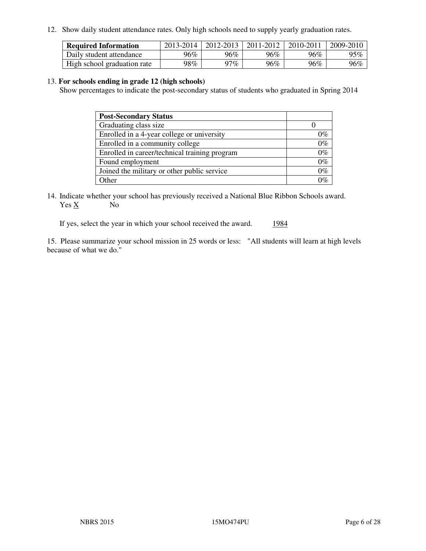12. Show daily student attendance rates. Only high schools need to supply yearly graduation rates.

| <b>Required Information</b> | 2013-2014 | 2012-2013 | 2011-2012 | 2010-2011 | 2009-2010 |
|-----------------------------|-----------|-----------|-----------|-----------|-----------|
| Daily student attendance    | 96%       | 96%       | 96%       | 96%       | 95%       |
| High school graduation rate | 98%       | $97\%$    | 96%       | 96%       | 96%       |

#### 13. **For schools ending in grade 12 (high schools)**

Show percentages to indicate the post-secondary status of students who graduated in Spring 2014

| <b>Post-Secondary Status</b>                  |       |
|-----------------------------------------------|-------|
| Graduating class size                         |       |
| Enrolled in a 4-year college or university    | 0%    |
| Enrolled in a community college               | $0\%$ |
| Enrolled in career/technical training program | $0\%$ |
| Found employment                              | $0\%$ |
| Joined the military or other public service   | $0\%$ |
| Other                                         | ገማ    |

14. Indicate whether your school has previously received a National Blue Ribbon Schools award. Yes X No

If yes, select the year in which your school received the award. 1984

15. Please summarize your school mission in 25 words or less: "All students will learn at high levels because of what we do."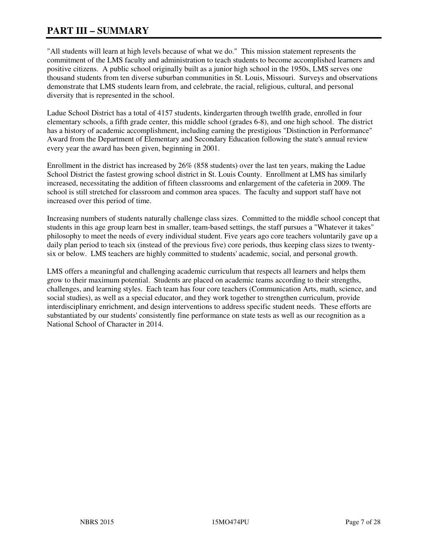# **PART III – SUMMARY**

"All students will learn at high levels because of what we do." This mission statement represents the commitment of the LMS faculty and administration to teach students to become accomplished learners and positive citizens. A public school originally built as a junior high school in the 1950s, LMS serves one thousand students from ten diverse suburban communities in St. Louis, Missouri. Surveys and observations demonstrate that LMS students learn from, and celebrate, the racial, religious, cultural, and personal diversity that is represented in the school.

Ladue School District has a total of 4157 students, kindergarten through twelfth grade, enrolled in four elementary schools, a fifth grade center, this middle school (grades 6-8), and one high school. The district has a history of academic accomplishment, including earning the prestigious "Distinction in Performance" Award from the Department of Elementary and Secondary Education following the state's annual review every year the award has been given, beginning in 2001.

Enrollment in the district has increased by 26% (858 students) over the last ten years, making the Ladue School District the fastest growing school district in St. Louis County. Enrollment at LMS has similarly increased, necessitating the addition of fifteen classrooms and enlargement of the cafeteria in 2009. The school is still stretched for classroom and common area spaces. The faculty and support staff have not increased over this period of time.

Increasing numbers of students naturally challenge class sizes. Committed to the middle school concept that students in this age group learn best in smaller, team-based settings, the staff pursues a "Whatever it takes" philosophy to meet the needs of every individual student. Five years ago core teachers voluntarily gave up a daily plan period to teach six (instead of the previous five) core periods, thus keeping class sizes to twentysix or below. LMS teachers are highly committed to students' academic, social, and personal growth.

LMS offers a meaningful and challenging academic curriculum that respects all learners and helps them grow to their maximum potential. Students are placed on academic teams according to their strengths, challenges, and learning styles. Each team has four core teachers (Communication Arts, math, science, and social studies), as well as a special educator, and they work together to strengthen curriculum, provide interdisciplinary enrichment, and design interventions to address specific student needs. These efforts are substantiated by our students' consistently fine performance on state tests as well as our recognition as a National School of Character in 2014.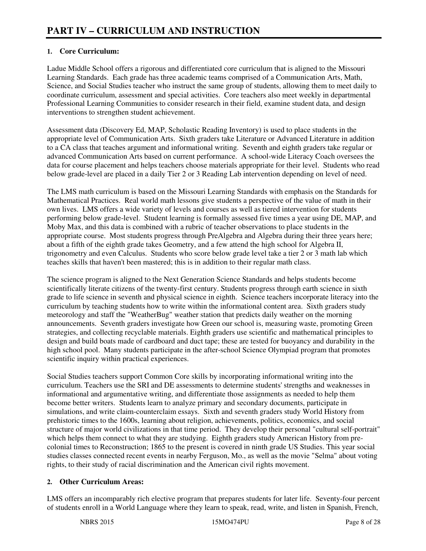# **1. Core Curriculum:**

Ladue Middle School offers a rigorous and differentiated core curriculum that is aligned to the Missouri Learning Standards. Each grade has three academic teams comprised of a Communication Arts, Math, Science, and Social Studies teacher who instruct the same group of students, allowing them to meet daily to coordinate curriculum, assessment and special activities. Core teachers also meet weekly in departmental Professional Learning Communities to consider research in their field, examine student data, and design interventions to strengthen student achievement.

Assessment data (Discovery Ed, MAP, Scholastic Reading Inventory) is used to place students in the appropriate level of Communication Arts. Sixth graders take Literature or Advanced Literature in addition to a CA class that teaches argument and informational writing. Seventh and eighth graders take regular or advanced Communication Arts based on current performance. A school-wide Literacy Coach oversees the data for course placement and helps teachers choose materials appropriate for their level. Students who read below grade-level are placed in a daily Tier 2 or 3 Reading Lab intervention depending on level of need.

The LMS math curriculum is based on the Missouri Learning Standards with emphasis on the Standards for Mathematical Practices. Real world math lessons give students a perspective of the value of math in their own lives. LMS offers a wide variety of levels and courses as well as tiered intervention for students performing below grade-level. Student learning is formally assessed five times a year using DE, MAP, and Moby Max, and this data is combined with a rubric of teacher observations to place students in the appropriate course. Most students progress through PreAlgebra and Algebra during their three years here; about a fifth of the eighth grade takes Geometry, and a few attend the high school for Algebra II, trigonometry and even Calculus. Students who score below grade level take a tier 2 or 3 math lab which teaches skills that haven't been mastered; this is in addition to their regular math class.

The science program is aligned to the Next Generation Science Standards and helps students become scientifically literate citizens of the twenty-first century. Students progress through earth science in sixth grade to life science in seventh and physical science in eighth. Science teachers incorporate literacy into the curriculum by teaching students how to write within the informational content area. Sixth graders study meteorology and staff the "WeatherBug" weather station that predicts daily weather on the morning announcements. Seventh graders investigate how Green our school is, measuring waste, promoting Green strategies, and collecting recyclable materials. Eighth graders use scientific and mathematical principles to design and build boats made of cardboard and duct tape; these are tested for buoyancy and durability in the high school pool. Many students participate in the after-school Science Olympiad program that promotes scientific inquiry within practical experiences.

Social Studies teachers support Common Core skills by incorporating informational writing into the curriculum. Teachers use the SRI and DE assessments to determine students' strengths and weaknesses in informational and argumentative writing, and differentiate those assignments as needed to help them become better writers. Students learn to analyze primary and secondary documents, participate in simulations, and write claim-counterclaim essays. Sixth and seventh graders study World History from prehistoric times to the 1600s, learning about religion, achievements, politics, economics, and social structure of major world civilizations in that time period. They develop their personal "cultural self-portrait" which helps them connect to what they are studying. Eighth graders study American History from precolonial times to Reconstruction; 1865 to the present is covered in ninth grade US Studies. This year social studies classes connected recent events in nearby Ferguson, Mo., as well as the movie "Selma" about voting rights, to their study of racial discrimination and the American civil rights movement.

#### **2. Other Curriculum Areas:**

LMS offers an incomparably rich elective program that prepares students for later life. Seventy-four percent of students enroll in a World Language where they learn to speak, read, write, and listen in Spanish, French,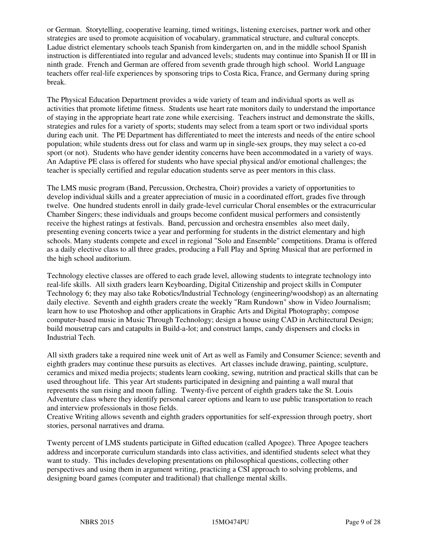or German. Storytelling, cooperative learning, timed writings, listening exercises, partner work and other strategies are used to promote acquisition of vocabulary, grammatical structure, and cultural concepts. Ladue district elementary schools teach Spanish from kindergarten on, and in the middle school Spanish instruction is differentiated into regular and advanced levels; students may continue into Spanish II or III in ninth grade. French and German are offered from seventh grade through high school. World Language teachers offer real-life experiences by sponsoring trips to Costa Rica, France, and Germany during spring break.

The Physical Education Department provides a wide variety of team and individual sports as well as activities that promote lifetime fitness. Students use heart rate monitors daily to understand the importance of staying in the appropriate heart rate zone while exercising. Teachers instruct and demonstrate the skills, strategies and rules for a variety of sports; students may select from a team sport or two individual sports during each unit. The PE Department has differentiated to meet the interests and needs of the entire school population; while students dress out for class and warm up in single-sex groups, they may select a co-ed sport (or not). Students who have gender identity concerns have been accommodated in a variety of ways. An Adaptive PE class is offered for students who have special physical and/or emotional challenges; the teacher is specially certified and regular education students serve as peer mentors in this class.

The LMS music program (Band, Percussion, Orchestra, Choir) provides a variety of opportunities to develop individual skills and a greater appreciation of music in a coordinated effort, grades five through twelve. One hundred students enroll in daily grade-level curricular Choral ensembles or the extracurricular Chamber Singers; these individuals and groups become confident musical performers and consistently receive the highest ratings at festivals. Band, percussion and orchestra ensembles also meet daily, presenting evening concerts twice a year and performing for students in the district elementary and high schools. Many students compete and excel in regional "Solo and Ensemble" competitions. Drama is offered as a daily elective class to all three grades, producing a Fall Play and Spring Musical that are performed in the high school auditorium.

Technology elective classes are offered to each grade level, allowing students to integrate technology into real-life skills. All sixth graders learn Keyboarding, Digital Citizenship and project skills in Computer Technology 6; they may also take Robotics/Industrial Technology (engineering/woodshop) as an alternating daily elective. Seventh and eighth graders create the weekly "Ram Rundown" show in Video Journalism; learn how to use Photoshop and other applications in Graphic Arts and Digital Photography; compose computer-based music in Music Through Technology; design a house using CAD in Architectural Design; build mousetrap cars and catapults in Build-a-lot; and construct lamps, candy dispensers and clocks in Industrial Tech.

All sixth graders take a required nine week unit of Art as well as Family and Consumer Science; seventh and eighth graders may continue these pursuits as electives. Art classes include drawing, painting, sculpture, ceramics and mixed media projects; students learn cooking, sewing, nutrition and practical skills that can be used throughout life. This year Art students participated in designing and painting a wall mural that represents the sun rising and moon falling. Twenty-five percent of eighth graders take the St. Louis Adventure class where they identify personal career options and learn to use public transportation to reach and interview professionals in those fields.

Creative Writing allows seventh and eighth graders opportunities for self-expression through poetry, short stories, personal narratives and drama.

Twenty percent of LMS students participate in Gifted education (called Apogee). Three Apogee teachers address and incorporate curriculum standards into class activities, and identified students select what they want to study. This includes developing presentations on philosophical questions, collecting other perspectives and using them in argument writing, practicing a CSI approach to solving problems, and designing board games (computer and traditional) that challenge mental skills.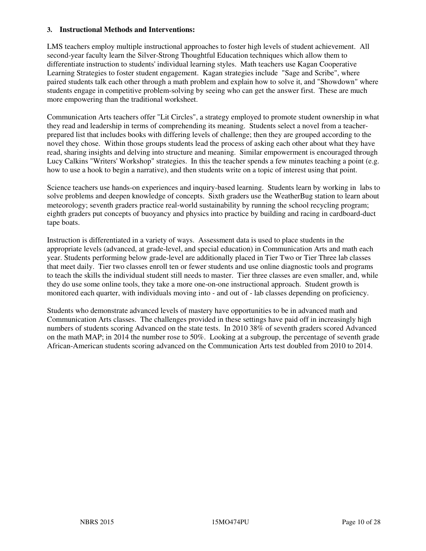#### **3. Instructional Methods and Interventions:**

LMS teachers employ multiple instructional approaches to foster high levels of student achievement. All second-year faculty learn the Silver-Strong Thoughtful Education techniques which allow them to differentiate instruction to students' individual learning styles. Math teachers use Kagan Cooperative Learning Strategies to foster student engagement. Kagan strategies include "Sage and Scribe", where paired students talk each other through a math problem and explain how to solve it, and "Showdown" where students engage in competitive problem-solving by seeing who can get the answer first. These are much more empowering than the traditional worksheet.

Communication Arts teachers offer "Lit Circles", a strategy employed to promote student ownership in what they read and leadership in terms of comprehending its meaning. Students select a novel from a teacherprepared list that includes books with differing levels of challenge; then they are grouped according to the novel they chose. Within those groups students lead the process of asking each other about what they have read, sharing insights and delving into structure and meaning. Similar empowerment is encouraged through Lucy Calkins "Writers' Workshop" strategies. In this the teacher spends a few minutes teaching a point (e.g. how to use a hook to begin a narrative), and then students write on a topic of interest using that point.

Science teachers use hands-on experiences and inquiry-based learning. Students learn by working in labs to solve problems and deepen knowledge of concepts. Sixth graders use the WeatherBug station to learn about meteorology; seventh graders practice real-world sustainability by running the school recycling program; eighth graders put concepts of buoyancy and physics into practice by building and racing in cardboard-duct tape boats.

Instruction is differentiated in a variety of ways. Assessment data is used to place students in the appropriate levels (advanced, at grade-level, and special education) in Communication Arts and math each year. Students performing below grade-level are additionally placed in Tier Two or Tier Three lab classes that meet daily. Tier two classes enroll ten or fewer students and use online diagnostic tools and programs to teach the skills the individual student still needs to master. Tier three classes are even smaller, and, while they do use some online tools, they take a more one-on-one instructional approach. Student growth is monitored each quarter, with individuals moving into - and out of - lab classes depending on proficiency.

Students who demonstrate advanced levels of mastery have opportunities to be in advanced math and Communication Arts classes. The challenges provided in these settings have paid off in increasingly high numbers of students scoring Advanced on the state tests. In 2010 38% of seventh graders scored Advanced on the math MAP; in 2014 the number rose to 50%. Looking at a subgroup, the percentage of seventh grade African-American students scoring advanced on the Communication Arts test doubled from 2010 to 2014.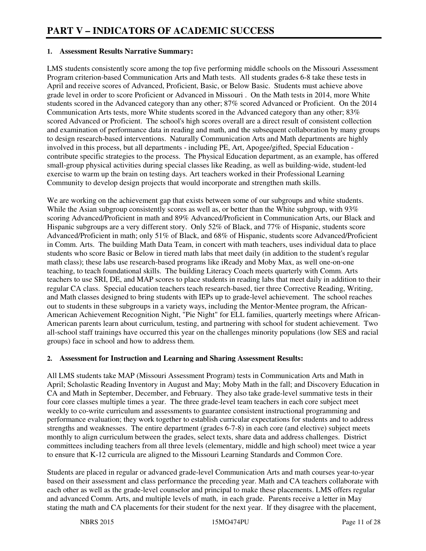#### **1. Assessment Results Narrative Summary:**

LMS students consistently score among the top five performing middle schools on the Missouri Assessment Program criterion-based Communication Arts and Math tests. All students grades 6-8 take these tests in April and receive scores of Advanced, Proficient, Basic, or Below Basic. Students must achieve above grade level in order to score Proficient or Advanced in Missouri . On the Math tests in 2014, more White students scored in the Advanced category than any other; 87% scored Advanced or Proficient. On the 2014 Communication Arts tests, more White students scored in the Advanced category than any other; 83% scored Advanced or Proficient. The school's high scores overall are a direct result of consistent collection and examination of performance data in reading and math, and the subsequent collaboration by many groups to design research-based interventions. Naturally Communication Arts and Math departments are highly involved in this process, but all departments - including PE, Art, Apogee/gifted, Special Education contribute specific strategies to the process. The Physical Education department, as an example, has offered small-group physical activities during special classes like Reading, as well as building-wide, student-led exercise to warm up the brain on testing days. Art teachers worked in their Professional Learning Community to develop design projects that would incorporate and strengthen math skills.

We are working on the achievement gap that exists between some of our subgroups and white students. While the Asian subgroup consistently scores as well as, or better than the White subgroup, with 93% scoring Advanced/Proficient in math and 89% Advanced/Proficient in Communication Arts, our Black and Hispanic subgroups are a very different story. Only 52% of Black, and 77% of Hispanic, students score Advanced/Proficient in math; only 51% of Black, and 68% of Hispanic, students score Advanced/Proficient in Comm. Arts. The building Math Data Team, in concert with math teachers, uses individual data to place students who score Basic or Below in tiered math labs that meet daily (in addition to the student's regular math class); these labs use research-based programs like iReady and Moby Max, as well one-on-one teaching, to teach foundational skills. The building Literacy Coach meets quarterly with Comm. Arts teachers to use SRI, DE, and MAP scores to place students in reading labs that meet daily in addition to their regular CA class. Special education teachers teach research-based, tier three Corrective Reading, Writing, and Math classes designed to bring students with IEPs up to grade-level achievement. The school reaches out to students in these subgroups in a variety ways, including the Mentor-Mentee program, the African-American Achievement Recognition Night, "Pie Night" for ELL families, quarterly meetings where African-American parents learn about curriculum, testing, and partnering with school for student achievement. Two all-school staff trainings have occurred this year on the challenges minority populations (low SES and racial groups) face in school and how to address them.

#### **2. Assessment for Instruction and Learning and Sharing Assessment Results:**

All LMS students take MAP (Missouri Assessment Program) tests in Communication Arts and Math in April; Scholastic Reading Inventory in August and May; Moby Math in the fall; and Discovery Education in CA and Math in September, December, and February. They also take grade-level summative tests in their four core classes multiple times a year. The three grade-level team teachers in each core subject meet weekly to co-write curriculum and assessments to guarantee consistent instructional programming and performance evaluation; they work together to establish curricular expectations for students and to address strengths and weaknesses. The entire department (grades 6-7-8) in each core (and elective) subject meets monthly to align curriculum between the grades, select texts, share data and address challenges. District committees including teachers from all three levels (elementary, middle and high school) meet twice a year to ensure that K-12 curricula are aligned to the Missouri Learning Standards and Common Core.

Students are placed in regular or advanced grade-level Communication Arts and math courses year-to-year based on their assessment and class performance the preceding year. Math and CA teachers collaborate with each other as well as the grade-level counselor and principal to make these placements. LMS offers regular and advanced Comm. Arts, and multiple levels of math, in each grade. Parents receive a letter in May stating the math and CA placements for their student for the next year. If they disagree with the placement,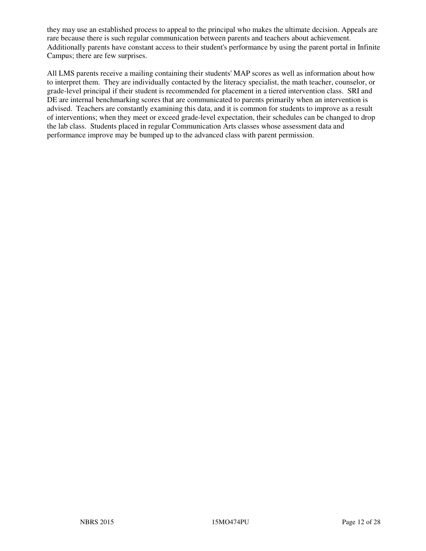they may use an established process to appeal to the principal who makes the ultimate decision. Appeals are rare because there is such regular communication between parents and teachers about achievement. Additionally parents have constant access to their student's performance by using the parent portal in Infinite Campus; there are few surprises.

All LMS parents receive a mailing containing their students' MAP scores as well as information about how to interpret them. They are individually contacted by the literacy specialist, the math teacher, counselor, or grade-level principal if their student is recommended for placement in a tiered intervention class. SRI and DE are internal benchmarking scores that are communicated to parents primarily when an intervention is advised. Teachers are constantly examining this data, and it is common for students to improve as a result of interventions; when they meet or exceed grade-level expectation, their schedules can be changed to drop the lab class. Students placed in regular Communication Arts classes whose assessment data and performance improve may be bumped up to the advanced class with parent permission.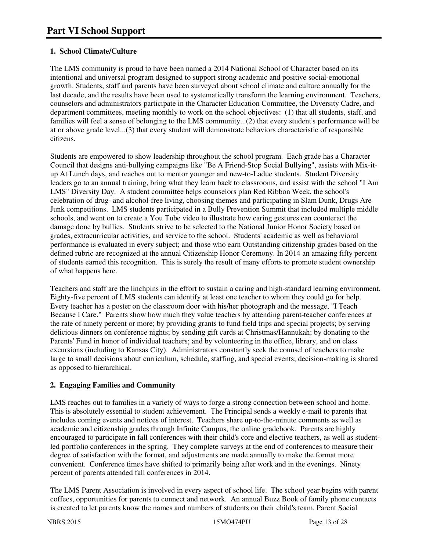# **1. School Climate/Culture**

The LMS community is proud to have been named a 2014 National School of Character based on its intentional and universal program designed to support strong academic and positive social-emotional growth. Students, staff and parents have been surveyed about school climate and culture annually for the last decade, and the results have been used to systematically transform the learning environment. Teachers, counselors and administrators participate in the Character Education Committee, the Diversity Cadre, and department committees, meeting monthly to work on the school objectives: (1) that all students, staff, and families will feel a sense of belonging to the LMS community...(2) that every student's performance will be at or above grade level...(3) that every student will demonstrate behaviors characteristic of responsible citizens.

Students are empowered to show leadership throughout the school program. Each grade has a Character Council that designs anti-bullying campaigns like "Be A Friend-Stop Social Bullying", assists with Mix-itup At Lunch days, and reaches out to mentor younger and new-to-Ladue students. Student Diversity leaders go to an annual training, bring what they learn back to classrooms, and assist with the school "I Am LMS" Diversity Day. A student committee helps counselors plan Red Ribbon Week, the school's celebration of drug- and alcohol-free living, choosing themes and participating in Slam Dunk, Drugs Are Junk competitions. LMS students participated in a Bully Prevention Summit that included multiple middle schools, and went on to create a You Tube video to illustrate how caring gestures can counteract the damage done by bullies. Students strive to be selected to the National Junior Honor Society based on grades, extracurricular activities, and service to the school. Students' academic as well as behavioral performance is evaluated in every subject; and those who earn Outstanding citizenship grades based on the defined rubric are recognized at the annual Citizenship Honor Ceremony. In 2014 an amazing fifty percent of students earned this recognition. This is surely the result of many efforts to promote student ownership of what happens here.

Teachers and staff are the linchpins in the effort to sustain a caring and high-standard learning environment. Eighty-five percent of LMS students can identify at least one teacher to whom they could go for help. Every teacher has a poster on the classroom door with his/her photograph and the message, "I Teach Because I Care." Parents show how much they value teachers by attending parent-teacher conferences at the rate of ninety percent or more; by providing grants to fund field trips and special projects; by serving delicious dinners on conference nights; by sending gift cards at Christmas/Hannukah; by donating to the Parents' Fund in honor of individual teachers; and by volunteering in the office, library, and on class excursions (including to Kansas City). Administrators constantly seek the counsel of teachers to make large to small decisions about curriculum, schedule, staffing, and special events; decision-making is shared as opposed to hierarchical.

#### **2. Engaging Families and Community**

LMS reaches out to families in a variety of ways to forge a strong connection between school and home. This is absolutely essential to student achievement. The Principal sends a weekly e-mail to parents that includes coming events and notices of interest. Teachers share up-to-the-minute comments as well as academic and citizenship grades through Infinite Campus, the online gradebook. Parents are highly encouraged to participate in fall conferences with their child's core and elective teachers, as well as studentled portfolio conferences in the spring. They complete surveys at the end of conferences to measure their degree of satisfaction with the format, and adjustments are made annually to make the format more convenient. Conference times have shifted to primarily being after work and in the evenings. Ninety percent of parents attended fall conferences in 2014.

The LMS Parent Association is involved in every aspect of school life. The school year begins with parent coffees, opportunities for parents to connect and network. An annual Buzz Book of family phone contacts is created to let parents know the names and numbers of students on their child's team. Parent Social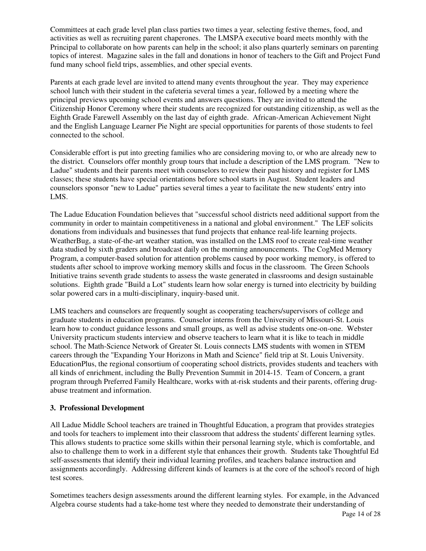Committees at each grade level plan class parties two times a year, selecting festive themes, food, and activities as well as recruiting parent chaperones. The LMSPA executive board meets monthly with the Principal to collaborate on how parents can help in the school; it also plans quarterly seminars on parenting topics of interest. Magazine sales in the fall and donations in honor of teachers to the Gift and Project Fund fund many school field trips, assemblies, and other special events.

Parents at each grade level are invited to attend many events throughout the year. They may experience school lunch with their student in the cafeteria several times a year, followed by a meeting where the principal previews upcoming school events and answers questions. They are invited to attend the Citizenship Honor Ceremony where their students are recognized for outstanding citizenship, as well as the Eighth Grade Farewell Assembly on the last day of eighth grade. African-American Achievement Night and the English Language Learner Pie Night are special opportunities for parents of those students to feel connected to the school.

Considerable effort is put into greeting families who are considering moving to, or who are already new to the district. Counselors offer monthly group tours that include a description of the LMS program. "New to Ladue" students and their parents meet with counselors to review their past history and register for LMS classes; these students have special orientations before school starts in August. Student leaders and counselors sponsor "new to Ladue" parties several times a year to facilitate the new students' entry into LMS.

The Ladue Education Foundation believes that "successful school districts need additional support from the community in order to maintain competitiveness in a national and global environment." The LEF solicits donations from individuals and businesses that fund projects that enhance real-life learning projects. WeatherBug, a state-of-the-art weather station, was installed on the LMS roof to create real-time weather data studied by sixth graders and broadcast daily on the morning announcements. The CogMed Memory Program, a computer-based solution for attention problems caused by poor working memory, is offered to students after school to improve working memory skills and focus in the classroom. The Green Schools Initiative trains seventh grade students to assess the waste generated in classrooms and design sustainable solutions. Eighth grade "Build a Lot" students learn how solar energy is turned into electricity by building solar powered cars in a multi-disciplinary, inquiry-based unit.

LMS teachers and counselors are frequently sought as cooperating teachers/supervisors of college and graduate students in education programs. Counselor interns from the University of Missouri-St. Louis learn how to conduct guidance lessons and small groups, as well as advise students one-on-one. Webster University practicum students interview and observe teachers to learn what it is like to teach in middle school. The Math-Science Network of Greater St. Louis connects LMS students with women in STEM careers through the "Expanding Your Horizons in Math and Science" field trip at St. Louis University. EducationPlus, the regional consortium of cooperating school districts, provides students and teachers with all kinds of enrichment, including the Bully Prevention Summit in 2014-15. Team of Concern, a grant program through Preferred Family Healthcare, works with at-risk students and their parents, offering drugabuse treatment and information.

#### **3. Professional Development**

All Ladue Middle School teachers are trained in Thoughtful Education, a program that provides strategies and tools for teachers to implement into their classroom that address the students' different learning sytles. This allows students to practice some skills within their personal learning style, which is comfortable, and also to challenge them to work in a different style that enhances their growth. Students take Thoughtful Ed self-assessments that identify their individual learning profiles, and teachers balance instruction and assignments accordingly. Addressing different kinds of learners is at the core of the school's record of high test scores.

Sometimes teachers design assessments around the different learning styles. For example, in the Advanced Algebra course students had a take-home test where they needed to demonstrate their understanding of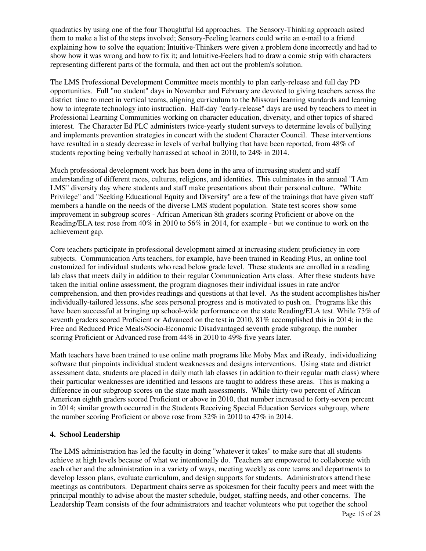quadratics by using one of the four Thoughtful Ed approaches. The Sensory-Thinking approach asked them to make a list of the steps involved; Sensory-Feeling learners could write an e-mail to a friend explaining how to solve the equation; Intuitive-Thinkers were given a problem done incorrectly and had to show how it was wrong and how to fix it; and Intuitive-Feelers had to draw a comic strip with characters representing different parts of the formula, and then act out the problem's solution.

The LMS Professional Development Committee meets monthly to plan early-release and full day PD opportunities. Full "no student" days in November and February are devoted to giving teachers across the district time to meet in vertical teams, aligning curriculum to the Missouri learning standards and learning how to integrate technology into instruction. Half-day "early-release" days are used by teachers to meet in Professional Learning Communities working on character education, diversity, and other topics of shared interest. The Character Ed PLC administers twice-yearly student surveys to determine levels of bullying and implements prevention strategies in concert with the student Character Council. These interventions have resulted in a steady decrease in levels of verbal bullying that have been reported, from 48% of students reporting being verbally harrassed at school in 2010, to 24% in 2014.

Much professional development work has been done in the area of increasing student and staff understanding of different races, cultures, religions, and identities. This culminates in the annual "I Am LMS" diversity day where students and staff make presentations about their personal culture. "White Privilege" and "Seeking Educational Equity and Diversity" are a few of the trainings that have given staff members a handle on the needs of the diverse LMS student population. State test scores show some improvement in subgroup scores - African American 8th graders scoring Proficient or above on the Reading/ELA test rose from 40% in 2010 to 56% in 2014, for example - but we continue to work on the achievement gap.

Core teachers participate in professional development aimed at increasing student proficiency in core subjects. Communication Arts teachers, for example, have been trained in Reading Plus, an online tool customized for individual students who read below grade level. These students are enrolled in a reading lab class that meets daily in addition to their regular Communication Arts class. After these students have taken the initial online assessment, the program diagnoses their individual issues in rate and/or comprehension, and then provides readings and questions at that level. As the student accomplishes his/her individually-tailored lessons, s/he sees personal progress and is motivated to push on. Programs like this have been successful at bringing up school-wide performance on the state Reading/ELA test. While 73% of seventh graders scored Proficient or Advanced on the test in 2010, 81% accomplished this in 2014; in the Free and Reduced Price Meals/Socio-Economic Disadvantaged seventh grade subgroup, the number scoring Proficient or Advanced rose from 44% in 2010 to 49% five years later.

Math teachers have been trained to use online math programs like Moby Max and iReady, individualizing software that pinpoints individual student weaknesses and designs interventions. Using state and district assessment data, students are placed in daily math lab classes (in addition to their regular math class) where their particular weaknesses are identified and lessons are taught to address these areas. This is making a difference in our subgroup scores on the state math assessments. While thirty-two percent of African American eighth graders scored Proficient or above in 2010, that number increased to forty-seven percent in 2014; similar growth occurred in the Students Receiving Special Education Services subgroup, where the number scoring Proficient or above rose from 32% in 2010 to 47% in 2014.

#### **4. School Leadership**

The LMS administration has led the faculty in doing "whatever it takes" to make sure that all students achieve at high levels because of what we intentionally do. Teachers are empowered to collaborate with each other and the administration in a variety of ways, meeting weekly as core teams and departments to develop lesson plans, evaluate curriculum, and design supports for students. Administrators attend these meetings as contributors. Department chairs serve as spokesmen for their faculty peers and meet with the principal monthly to advise about the master schedule, budget, staffing needs, and other concerns. The Leadership Team consists of the four administrators and teacher volunteers who put together the school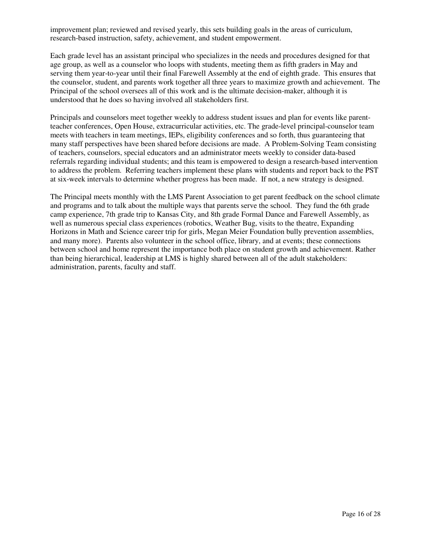improvement plan; reviewed and revised yearly, this sets building goals in the areas of curriculum, research-based instruction, safety, achievement, and student empowerment.

Each grade level has an assistant principal who specializes in the needs and procedures designed for that age group, as well as a counselor who loops with students, meeting them as fifth graders in May and serving them year-to-year until their final Farewell Assembly at the end of eighth grade. This ensures that the counselor, student, and parents work together all three years to maximize growth and achievement. The Principal of the school oversees all of this work and is the ultimate decision-maker, although it is understood that he does so having involved all stakeholders first.

Principals and counselors meet together weekly to address student issues and plan for events like parentteacher conferences, Open House, extracurricular activities, etc. The grade-level principal-counselor team meets with teachers in team meetings, IEPs, eligibility conferences and so forth, thus guaranteeing that many staff perspectives have been shared before decisions are made. A Problem-Solving Team consisting of teachers, counselors, special educators and an administrator meets weekly to consider data-based referrals regarding individual students; and this team is empowered to design a research-based intervention to address the problem. Referring teachers implement these plans with students and report back to the PST at six-week intervals to determine whether progress has been made. If not, a new strategy is designed.

The Principal meets monthly with the LMS Parent Association to get parent feedback on the school climate and programs and to talk about the multiple ways that parents serve the school. They fund the 6th grade camp experience, 7th grade trip to Kansas City, and 8th grade Formal Dance and Farewell Assembly, as well as numerous special class experiences (robotics, Weather Bug, visits to the theatre, Expanding Horizons in Math and Science career trip for girls, Megan Meier Foundation bully prevention assemblies, and many more). Parents also volunteer in the school office, library, and at events; these connections between school and home represent the importance both place on student growth and achievement. Rather than being hierarchical, leadership at LMS is highly shared between all of the adult stakeholders: administration, parents, faculty and staff.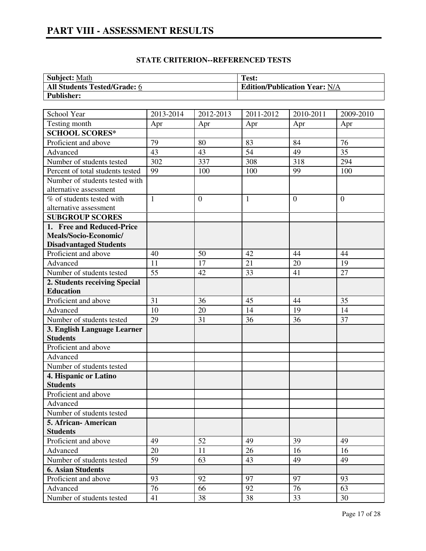# **PART VIII - ASSESSMENT RESULTS**

| <b>Subject: Math</b>                | Test:                                |
|-------------------------------------|--------------------------------------|
| <b>All Students Tested/Grade: 6</b> | <b>Edition/Publication Year: N/A</b> |
| <b>Publisher:</b>                   |                                      |

| School Year                      | 2013-2014    | 2012-2013        | 2011-2012    | 2010-2011      | 2009-2010      |
|----------------------------------|--------------|------------------|--------------|----------------|----------------|
| Testing month                    | Apr          | Apr              | Apr          | Apr            | Apr            |
| <b>SCHOOL SCORES*</b>            |              |                  |              |                |                |
| Proficient and above             | 79           | 80               | 83           | 84             | 76             |
| Advanced                         | 43           | 43               | 54           | 49             | 35             |
| Number of students tested        | 302          | 337              | 308          | 318            | 294            |
| Percent of total students tested | 99           | 100              | 100          | 99             | 100            |
| Number of students tested with   |              |                  |              |                |                |
| alternative assessment           |              |                  |              |                |                |
| % of students tested with        | $\mathbf{1}$ | $\boldsymbol{0}$ | $\mathbf{1}$ | $\overline{0}$ | $\overline{0}$ |
| alternative assessment           |              |                  |              |                |                |
| <b>SUBGROUP SCORES</b>           |              |                  |              |                |                |
| 1. Free and Reduced-Price        |              |                  |              |                |                |
| Meals/Socio-Economic/            |              |                  |              |                |                |
| <b>Disadvantaged Students</b>    |              |                  |              |                |                |
| Proficient and above             | 40           | 50               | 42           | 44             | 44             |
| Advanced                         | 11           | 17               | 21           | 20             | 19             |
| Number of students tested        | 55           | 42               | 33           | 41             | 27             |
| 2. Students receiving Special    |              |                  |              |                |                |
| <b>Education</b>                 |              |                  |              |                |                |
| Proficient and above             | 31           | 36               | 45           | 44             | 35             |
| Advanced                         | 10           | 20               | 14           | 19             | 14             |
| Number of students tested        | 29           | 31               | 36           | 36             | 37             |
| 3. English Language Learner      |              |                  |              |                |                |
| <b>Students</b>                  |              |                  |              |                |                |
| Proficient and above             |              |                  |              |                |                |
| Advanced                         |              |                  |              |                |                |
| Number of students tested        |              |                  |              |                |                |
| 4. Hispanic or Latino            |              |                  |              |                |                |
| <b>Students</b>                  |              |                  |              |                |                |
| Proficient and above             |              |                  |              |                |                |
| Advanced                         |              |                  |              |                |                |
| Number of students tested        |              |                  |              |                |                |
| 5. African-American              |              |                  |              |                |                |
| <b>Students</b>                  |              |                  |              |                |                |
| Proficient and above             | 49           | 52               | 49           | 39             | 49             |
| Advanced                         | 20           | 11               | 26           | 16             | 16             |
| Number of students tested        | 59           | 63               | 43           | 49             | 49             |
| <b>6. Asian Students</b>         |              |                  |              |                |                |
| Proficient and above             | 93           | 92               | 97           | 97             | 93             |
| Advanced                         | 76           | 66               | 92           | 76             | 63             |
| Number of students tested        | 41           | 38               | 38           | 33             | 30             |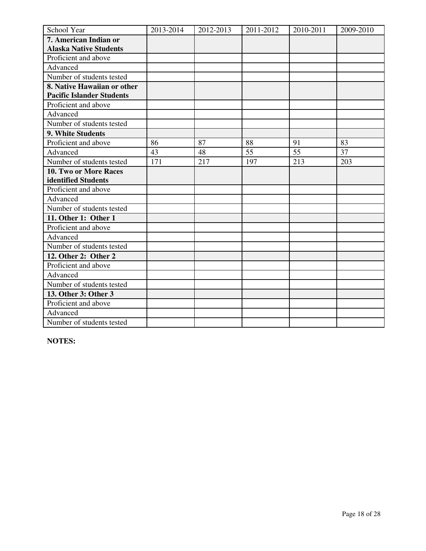| School Year                      | 2013-2014 | 2012-2013 | 2011-2012 | 2010-2011 | 2009-2010 |
|----------------------------------|-----------|-----------|-----------|-----------|-----------|
| 7. American Indian or            |           |           |           |           |           |
| <b>Alaska Native Students</b>    |           |           |           |           |           |
| Proficient and above             |           |           |           |           |           |
| Advanced                         |           |           |           |           |           |
| Number of students tested        |           |           |           |           |           |
| 8. Native Hawaiian or other      |           |           |           |           |           |
| <b>Pacific Islander Students</b> |           |           |           |           |           |
| Proficient and above             |           |           |           |           |           |
| Advanced                         |           |           |           |           |           |
| Number of students tested        |           |           |           |           |           |
| 9. White Students                |           |           |           |           |           |
| Proficient and above             | 86        | 87        | 88        | 91        | 83        |
| Advanced                         | 43        | 48        | 55        | 55        | 37        |
| Number of students tested        | 171       | 217       | 197       | 213       | 203       |
| 10. Two or More Races            |           |           |           |           |           |
| identified Students              |           |           |           |           |           |
| Proficient and above             |           |           |           |           |           |
| Advanced                         |           |           |           |           |           |
| Number of students tested        |           |           |           |           |           |
| 11. Other 1: Other 1             |           |           |           |           |           |
| Proficient and above             |           |           |           |           |           |
| Advanced                         |           |           |           |           |           |
| Number of students tested        |           |           |           |           |           |
| 12. Other 2: Other 2             |           |           |           |           |           |
| Proficient and above             |           |           |           |           |           |
| Advanced                         |           |           |           |           |           |
| Number of students tested        |           |           |           |           |           |
| 13. Other 3: Other 3             |           |           |           |           |           |
| Proficient and above             |           |           |           |           |           |
| Advanced                         |           |           |           |           |           |
| Number of students tested        |           |           |           |           |           |

**NOTES:**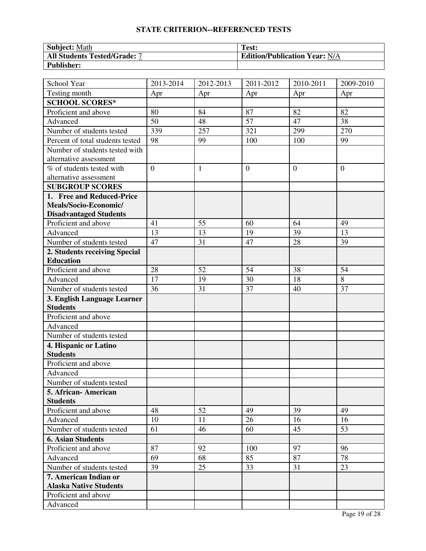| <b>Subject:</b> Math                | Test:                                |
|-------------------------------------|--------------------------------------|
| <b>All Students Tested/Grade: 7</b> | <b>Edition/Publication Year: N/A</b> |
| <b>Publisher:</b>                   |                                      |

| School Year                      | 2013-2014      | 2012-2013    | 2011-2012      | 2010-2011      | 2009-2010      |
|----------------------------------|----------------|--------------|----------------|----------------|----------------|
| Testing month                    | Apr            | Apr          | Apr            | Apr            | Apr            |
| <b>SCHOOL SCORES*</b>            |                |              |                |                |                |
| Proficient and above             | 80             | 84           | 87             | 82             | 82             |
| Advanced                         | 50             | 48           | 57             | 47             | 38             |
| Number of students tested        | 339            | 257          | 321            | 299            | 270            |
| Percent of total students tested | 98             | 99           | 100            | 100            | 99             |
| Number of students tested with   |                |              |                |                |                |
| alternative assessment           |                |              |                |                |                |
| % of students tested with        | $\overline{0}$ | $\mathbf{1}$ | $\overline{0}$ | $\overline{0}$ | $\overline{0}$ |
| alternative assessment           |                |              |                |                |                |
| <b>SUBGROUP SCORES</b>           |                |              |                |                |                |
| 1. Free and Reduced-Price        |                |              |                |                |                |
| Meals/Socio-Economic/            |                |              |                |                |                |
| <b>Disadvantaged Students</b>    |                |              |                |                |                |
| Proficient and above             | 41             | 55           | 60             | 64             | 49             |
| Advanced                         | 13             | 13           | 19             | 39             | 13             |
| Number of students tested        | 47             | 31           | 47             | 28             | 39             |
| 2. Students receiving Special    |                |              |                |                |                |
| <b>Education</b>                 |                |              |                |                |                |
| Proficient and above             | 28             | 52           | 54             | 38             | 54             |
| Advanced                         | 17             | 19           | 30             | 18             | 8              |
| Number of students tested        | 36             | 31           | 37             | 40             | 37             |
| 3. English Language Learner      |                |              |                |                |                |
| <b>Students</b>                  |                |              |                |                |                |
| Proficient and above             |                |              |                |                |                |
| Advanced                         |                |              |                |                |                |
| Number of students tested        |                |              |                |                |                |
| 4. Hispanic or Latino            |                |              |                |                |                |
| <b>Students</b>                  |                |              |                |                |                |
| Proficient and above             |                |              |                |                |                |
| Advanced                         |                |              |                |                |                |
| Number of students tested        |                |              |                |                |                |
| 5. African- American             |                |              |                |                |                |
| <b>Students</b>                  |                |              |                |                |                |
| Proficient and above             | 48             | 52           | 49             | 39             | 49             |
| Advanced                         | 10             | 11           | 26             | 16             | 16             |
| Number of students tested        | 61             | 46           | 60             | 45             | 53             |
| <b>6. Asian Students</b>         |                |              |                |                |                |
| Proficient and above             | 87             | 92           | 100            | 97             | 96             |
| Advanced                         | 69             | 68           | 85             | 87             | 78             |
| Number of students tested        | 39             | 25           | 33             | 31             | 23             |
| 7. American Indian or            |                |              |                |                |                |
| <b>Alaska Native Students</b>    |                |              |                |                |                |
| Proficient and above             |                |              |                |                |                |
| Advanced                         |                |              |                |                |                |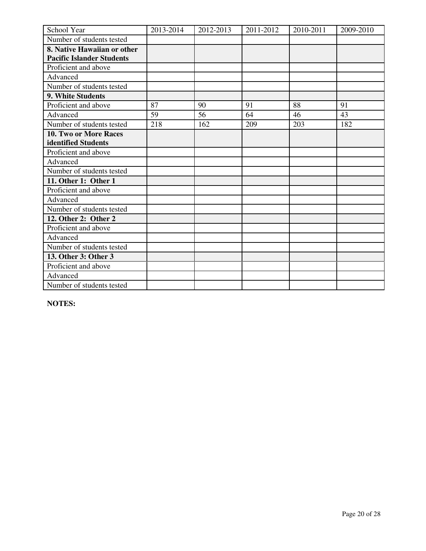| School Year                      | 2013-2014 | 2012-2013 | 2011-2012 | 2010-2011 | 2009-2010 |
|----------------------------------|-----------|-----------|-----------|-----------|-----------|
| Number of students tested        |           |           |           |           |           |
| 8. Native Hawaiian or other      |           |           |           |           |           |
| <b>Pacific Islander Students</b> |           |           |           |           |           |
| Proficient and above             |           |           |           |           |           |
| Advanced                         |           |           |           |           |           |
| Number of students tested        |           |           |           |           |           |
| 9. White Students                |           |           |           |           |           |
| Proficient and above             | 87        | 90        | 91        | 88        | 91        |
| Advanced                         | 59        | 56        | 64        | 46        | 43        |
| Number of students tested        | 218       | 162       | 209       | 203       | 182       |
| 10. Two or More Races            |           |           |           |           |           |
| identified Students              |           |           |           |           |           |
| Proficient and above             |           |           |           |           |           |
| Advanced                         |           |           |           |           |           |
| Number of students tested        |           |           |           |           |           |
| 11. Other 1: Other 1             |           |           |           |           |           |
| Proficient and above             |           |           |           |           |           |
| Advanced                         |           |           |           |           |           |
| Number of students tested        |           |           |           |           |           |
| 12. Other 2: Other 2             |           |           |           |           |           |
| Proficient and above             |           |           |           |           |           |
| Advanced                         |           |           |           |           |           |
| Number of students tested        |           |           |           |           |           |
| 13. Other 3: Other 3             |           |           |           |           |           |
| Proficient and above             |           |           |           |           |           |
| Advanced                         |           |           |           |           |           |
| Number of students tested        |           |           |           |           |           |

**NOTES:**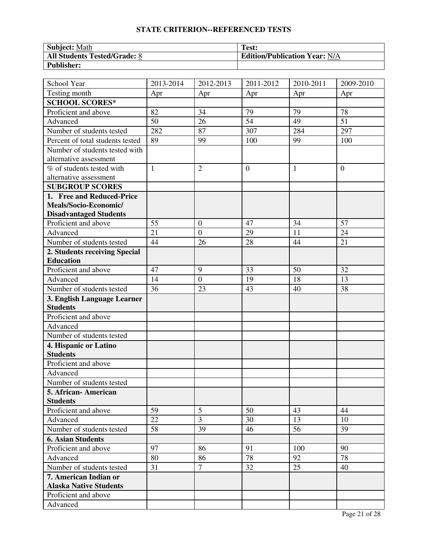| <b>Subject:</b> Math                | Test:                                |
|-------------------------------------|--------------------------------------|
| <b>All Students Tested/Grade: 8</b> | <b>Edition/Publication Year: N/A</b> |
| Publisher:                          |                                      |

| School Year                      | 2013-2014    | 2012-2013        | 2011-2012      | 2010-2011    | 2009-2010 |
|----------------------------------|--------------|------------------|----------------|--------------|-----------|
| Testing month                    | Apr          | Apr              | Apr            | Apr          | Apr       |
| <b>SCHOOL SCORES*</b>            |              |                  |                |              |           |
| Proficient and above             | 82           | 34               | 79             | 79           | 78        |
| Advanced                         | 50           | 26               | 54             | 49           | 51        |
| Number of students tested        | 282          | 87               | 307            | 284          | 297       |
| Percent of total students tested | 89           | 99               | 100            | 99           | 100       |
| Number of students tested with   |              |                  |                |              |           |
| alternative assessment           |              |                  |                |              |           |
| % of students tested with        | $\mathbf{1}$ | $\overline{2}$   | $\overline{0}$ | $\mathbf{1}$ | $\theta$  |
| alternative assessment           |              |                  |                |              |           |
| <b>SUBGROUP SCORES</b>           |              |                  |                |              |           |
| 1. Free and Reduced-Price        |              |                  |                |              |           |
| Meals/Socio-Economic/            |              |                  |                |              |           |
| <b>Disadvantaged Students</b>    |              |                  |                |              |           |
| Proficient and above             | 55           | $\overline{0}$   | 47             | 34           | 57        |
| Advanced                         | 21           | $\boldsymbol{0}$ | 29             | 11           | 24        |
| Number of students tested        | 44           | 26               | 28             | 44           | 21        |
| 2. Students receiving Special    |              |                  |                |              |           |
| <b>Education</b>                 |              |                  |                |              |           |
| Proficient and above             | 47           | 9                | 33             | 50           | 32        |
| Advanced                         | 14           | $\boldsymbol{0}$ | 19             | 18           | 13        |
| Number of students tested        | 36           | 23               | 43             | 40           | 38        |
| 3. English Language Learner      |              |                  |                |              |           |
| <b>Students</b>                  |              |                  |                |              |           |
| Proficient and above             |              |                  |                |              |           |
| Advanced                         |              |                  |                |              |           |
| Number of students tested        |              |                  |                |              |           |
| 4. Hispanic or Latino            |              |                  |                |              |           |
| <b>Students</b>                  |              |                  |                |              |           |
| Proficient and above             |              |                  |                |              |           |
| Advanced                         |              |                  |                |              |           |
| Number of students tested        |              |                  |                |              |           |
| 5. African- American             |              |                  |                |              |           |
| <b>Students</b>                  |              |                  |                |              |           |
| Proficient and above             | 59           | 5                | 50             | 43           | 44        |
| Advanced                         | 22           | $\overline{3}$   | 30             | 13           | 10        |
| Number of students tested        | 58           | 39               | 46             | 56           | 39        |
| <b>6. Asian Students</b>         |              |                  |                |              |           |
| Proficient and above             | 97           | 86               | 91             | 100          | 90        |
| Advanced                         | 80           | 86               | 78             | 92           | 78        |
| Number of students tested        | 31           | $\tau$           | 32             | 25           | 40        |
| 7. American Indian or            |              |                  |                |              |           |
| <b>Alaska Native Students</b>    |              |                  |                |              |           |
| Proficient and above             |              |                  |                |              |           |
| Advanced                         |              |                  |                |              |           |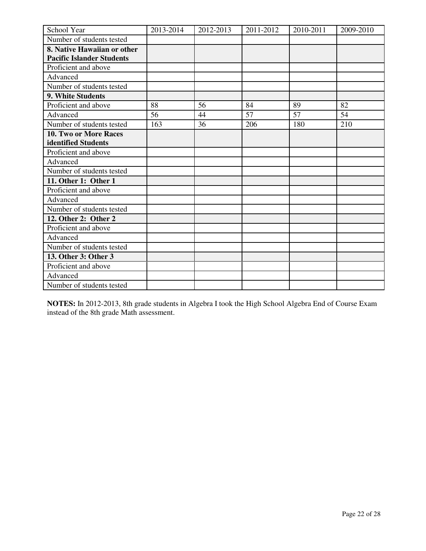| School Year                      | 2013-2014 | 2012-2013 | 2011-2012 | 2010-2011 | 2009-2010 |
|----------------------------------|-----------|-----------|-----------|-----------|-----------|
| Number of students tested        |           |           |           |           |           |
| 8. Native Hawaiian or other      |           |           |           |           |           |
| <b>Pacific Islander Students</b> |           |           |           |           |           |
| Proficient and above             |           |           |           |           |           |
| Advanced                         |           |           |           |           |           |
| Number of students tested        |           |           |           |           |           |
| <b>9. White Students</b>         |           |           |           |           |           |
| Proficient and above             | 88        | 56        | 84        | 89        | 82        |
| Advanced                         | 56        | 44        | 57        | 57        | 54        |
| Number of students tested        | 163       | 36        | 206       | 180       | 210       |
| <b>10. Two or More Races</b>     |           |           |           |           |           |
| identified Students              |           |           |           |           |           |
| Proficient and above             |           |           |           |           |           |
| Advanced                         |           |           |           |           |           |
| Number of students tested        |           |           |           |           |           |
| 11. Other 1: Other 1             |           |           |           |           |           |
| Proficient and above             |           |           |           |           |           |
| Advanced                         |           |           |           |           |           |
| Number of students tested        |           |           |           |           |           |
| 12. Other 2: Other 2             |           |           |           |           |           |
| Proficient and above             |           |           |           |           |           |
| Advanced                         |           |           |           |           |           |
| Number of students tested        |           |           |           |           |           |
| 13. Other 3: Other 3             |           |           |           |           |           |
| Proficient and above             |           |           |           |           |           |
| Advanced                         |           |           |           |           |           |
| Number of students tested        |           |           |           |           |           |

**NOTES:** In 2012-2013, 8th grade students in Algebra I took the High School Algebra End of Course Exam instead of the 8th grade Math assessment.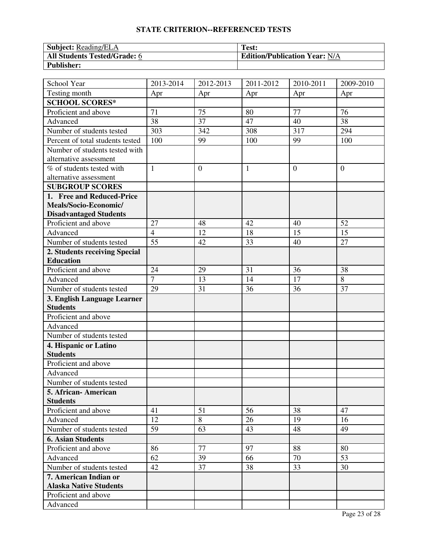| <b>Subject: Reading/ELA</b>         | Test:                                |
|-------------------------------------|--------------------------------------|
| <b>All Students Tested/Grade: 6</b> | <b>Edition/Publication Year: N/A</b> |
| <b>Publisher:</b>                   |                                      |

| School Year                                    | 2013-2014      | 2012-2013      | 2011-2012    | 2010-2011      | 2009-2010    |
|------------------------------------------------|----------------|----------------|--------------|----------------|--------------|
| Testing month                                  | Apr            | Apr            | Apr          | Apr            | Apr          |
| <b>SCHOOL SCORES*</b>                          |                |                |              |                |              |
| Proficient and above                           | 71             | 75             | 80           | 77             | 76           |
| Advanced                                       | 38             | 37             | 47           | 40             | 38           |
| Number of students tested                      | 303            | 342            | 308          | 317            | 294          |
| Percent of total students tested               | 100            | 99             | 100          | 99             | 100          |
| Number of students tested with                 |                |                |              |                |              |
| alternative assessment                         |                |                |              |                |              |
| % of students tested with                      | $\mathbf{1}$   | $\overline{0}$ | $\mathbf{1}$ | $\overline{0}$ | $\mathbf{0}$ |
| alternative assessment                         |                |                |              |                |              |
| <b>SUBGROUP SCORES</b>                         |                |                |              |                |              |
| 1. Free and Reduced-Price                      |                |                |              |                |              |
| Meals/Socio-Economic/                          |                |                |              |                |              |
| <b>Disadvantaged Students</b>                  |                |                |              |                |              |
| Proficient and above                           | 27             | 48             | 42           | 40             | 52           |
| Advanced                                       | $\overline{4}$ | 12             | 18           | 15             | 15           |
| Number of students tested                      | 55             | 42             | 33           | 40             | 27           |
| 2. Students receiving Special                  |                |                |              |                |              |
| <b>Education</b>                               |                |                |              |                |              |
| Proficient and above                           | 24             | 29             | 31           | 36             | 38           |
| Advanced                                       | $\overline{7}$ | 13             | 14           | 17             | 8            |
| Number of students tested                      | 29             | 31             | 36           | 36             | 37           |
| 3. English Language Learner<br><b>Students</b> |                |                |              |                |              |
| Proficient and above                           |                |                |              |                |              |
| Advanced                                       |                |                |              |                |              |
| Number of students tested                      |                |                |              |                |              |
| 4. Hispanic or Latino                          |                |                |              |                |              |
| <b>Students</b>                                |                |                |              |                |              |
| Proficient and above                           |                |                |              |                |              |
| Advanced                                       |                |                |              |                |              |
| Number of students tested                      |                |                |              |                |              |
| 5. African- American                           |                |                |              |                |              |
| <b>Students</b>                                |                |                |              |                |              |
| Proficient and above                           | 41             | 51             | 56           | 38             | 47           |
| Advanced                                       | 12             | 8              | 26           | 19             | 16           |
| Number of students tested                      | 59             | 63             | 43           | 48             | 49           |
| <b>6. Asian Students</b>                       |                |                |              |                |              |
| Proficient and above                           | 86             | 77             | 97           | 88             | 80           |
| Advanced                                       | 62             | 39             | 66           | 70             | 53           |
| Number of students tested                      | 42             | 37             | 38           | 33             | 30           |
| 7. American Indian or                          |                |                |              |                |              |
| <b>Alaska Native Students</b>                  |                |                |              |                |              |
| Proficient and above                           |                |                |              |                |              |
| Advanced                                       |                |                |              |                |              |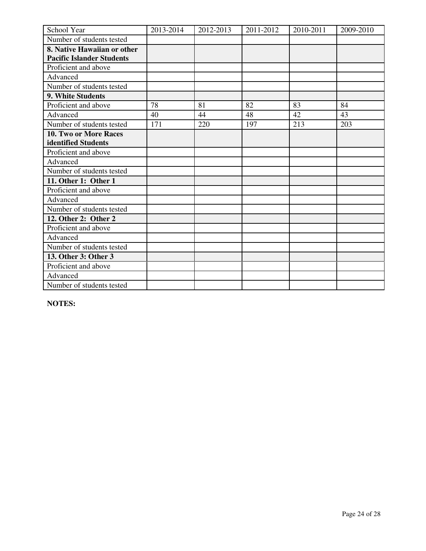| School Year                      | 2013-2014 | 2012-2013 | 2011-2012 | 2010-2011 | 2009-2010 |
|----------------------------------|-----------|-----------|-----------|-----------|-----------|
| Number of students tested        |           |           |           |           |           |
| 8. Native Hawaiian or other      |           |           |           |           |           |
| <b>Pacific Islander Students</b> |           |           |           |           |           |
| Proficient and above             |           |           |           |           |           |
| Advanced                         |           |           |           |           |           |
| Number of students tested        |           |           |           |           |           |
| 9. White Students                |           |           |           |           |           |
| Proficient and above             | 78        | 81        | 82        | 83        | 84        |
| Advanced                         | 40        | 44        | 48        | 42        | 43        |
| Number of students tested        | 171       | 220       | 197       | 213       | 203       |
| 10. Two or More Races            |           |           |           |           |           |
| identified Students              |           |           |           |           |           |
| Proficient and above             |           |           |           |           |           |
| Advanced                         |           |           |           |           |           |
| Number of students tested        |           |           |           |           |           |
| 11. Other 1: Other 1             |           |           |           |           |           |
| Proficient and above             |           |           |           |           |           |
| Advanced                         |           |           |           |           |           |
| Number of students tested        |           |           |           |           |           |
| 12. Other 2: Other 2             |           |           |           |           |           |
| Proficient and above             |           |           |           |           |           |
| Advanced                         |           |           |           |           |           |
| Number of students tested        |           |           |           |           |           |
| 13. Other 3: Other 3             |           |           |           |           |           |
| Proficient and above             |           |           |           |           |           |
| Advanced                         |           |           |           |           |           |
| Number of students tested        |           |           |           |           |           |

**NOTES:**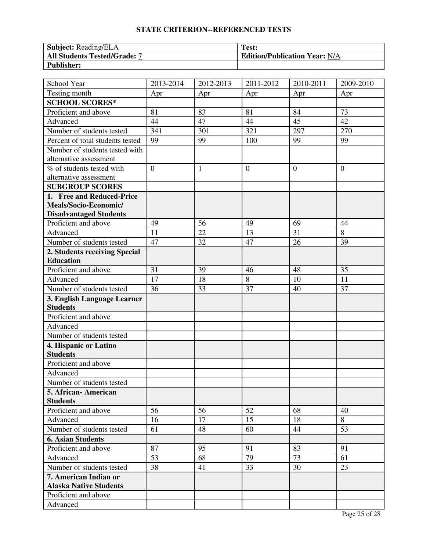| <b>Subject:</b> Reading/ELA         | Test:                                |
|-------------------------------------|--------------------------------------|
| <b>All Students Tested/Grade: 7</b> | <b>Edition/Publication Year: N/A</b> |
| <b>Publisher:</b>                   |                                      |

| School Year                                    | 2013-2014      | 2012-2013    | 2011-2012      | 2010-2011        | 2009-2010 |
|------------------------------------------------|----------------|--------------|----------------|------------------|-----------|
| Testing month                                  | Apr            | Apr          | Apr            | Apr              | Apr       |
| <b>SCHOOL SCORES*</b>                          |                |              |                |                  |           |
| Proficient and above                           | 81             | 83           | 81             | 84               | 73        |
| Advanced                                       | 44             | 47           | 44             | 45               | 42        |
| Number of students tested                      | 341            | 301          | 321            | 297              | 270       |
| Percent of total students tested               | 99             | 99           | 100            | 99               | 99        |
| Number of students tested with                 |                |              |                |                  |           |
| alternative assessment                         |                |              |                |                  |           |
| % of students tested with                      | $\overline{0}$ | $\mathbf{1}$ | $\overline{0}$ | $\boldsymbol{0}$ | $\theta$  |
| alternative assessment                         |                |              |                |                  |           |
| <b>SUBGROUP SCORES</b>                         |                |              |                |                  |           |
| 1. Free and Reduced-Price                      |                |              |                |                  |           |
| Meals/Socio-Economic/                          |                |              |                |                  |           |
| <b>Disadvantaged Students</b>                  |                |              |                |                  |           |
| Proficient and above                           | 49             | 56           | 49             | 69               | 44        |
| Advanced                                       | 11             | 22           | 13             | 31               | 8         |
| Number of students tested                      | 47             | 32           | 47             | 26               | 39        |
| 2. Students receiving Special                  |                |              |                |                  |           |
| <b>Education</b>                               |                |              |                |                  |           |
| Proficient and above                           | 31             | 39           | 46             | 48               | 35        |
| Advanced                                       | 17             | 18           | 8              | 10               | 11        |
| Number of students tested                      | 36             | 33           | 37             | 40               | 37        |
| 3. English Language Learner<br><b>Students</b> |                |              |                |                  |           |
| Proficient and above                           |                |              |                |                  |           |
| Advanced                                       |                |              |                |                  |           |
| Number of students tested                      |                |              |                |                  |           |
| 4. Hispanic or Latino                          |                |              |                |                  |           |
| <b>Students</b>                                |                |              |                |                  |           |
| Proficient and above                           |                |              |                |                  |           |
| Advanced                                       |                |              |                |                  |           |
| Number of students tested                      |                |              |                |                  |           |
| 5. African-American                            |                |              |                |                  |           |
| <b>Students</b>                                |                |              |                |                  |           |
| Proficient and above                           | 56             | 56           | 52             | 68               | 40        |
| Advanced                                       | 16             | 17           | 15             | 18               | 8         |
| Number of students tested                      | 61             | 48           | 60             | 44               | 53        |
| <b>6. Asian Students</b>                       |                |              |                |                  |           |
| Proficient and above                           | 87             | 95           | 91             | 83               | 91        |
| Advanced                                       | 53             | 68           | 79             | 73               | 61        |
| Number of students tested                      | 38             | 41           | 33             | 30               | 23        |
| 7. American Indian or                          |                |              |                |                  |           |
| <b>Alaska Native Students</b>                  |                |              |                |                  |           |
| Proficient and above                           |                |              |                |                  |           |
| Advanced                                       |                |              |                |                  |           |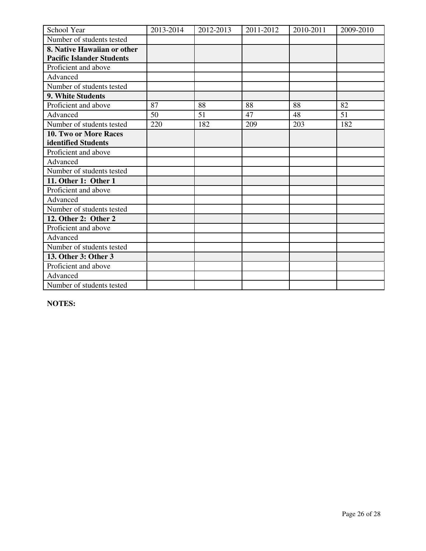| School Year                      | 2013-2014 | 2012-2013 | 2011-2012 | 2010-2011 | 2009-2010 |
|----------------------------------|-----------|-----------|-----------|-----------|-----------|
| Number of students tested        |           |           |           |           |           |
| 8. Native Hawaiian or other      |           |           |           |           |           |
| <b>Pacific Islander Students</b> |           |           |           |           |           |
| Proficient and above             |           |           |           |           |           |
| Advanced                         |           |           |           |           |           |
| Number of students tested        |           |           |           |           |           |
| 9. White Students                |           |           |           |           |           |
| Proficient and above             | 87        | 88        | 88        | 88        | 82        |
| Advanced                         | 50        | 51        | 47        | 48        | 51        |
| Number of students tested        | 220       | 182       | 209       | 203       | 182       |
| <b>10. Two or More Races</b>     |           |           |           |           |           |
| identified Students              |           |           |           |           |           |
| Proficient and above             |           |           |           |           |           |
| Advanced                         |           |           |           |           |           |
| Number of students tested        |           |           |           |           |           |
| 11. Other 1: Other 1             |           |           |           |           |           |
| Proficient and above             |           |           |           |           |           |
| Advanced                         |           |           |           |           |           |
| Number of students tested        |           |           |           |           |           |
| 12. Other 2: Other 2             |           |           |           |           |           |
| Proficient and above             |           |           |           |           |           |
| Advanced                         |           |           |           |           |           |
| Number of students tested        |           |           |           |           |           |
| 13. Other 3: Other 3             |           |           |           |           |           |
| Proficient and above             |           |           |           |           |           |
| Advanced                         |           |           |           |           |           |
| Number of students tested        |           |           |           |           |           |

**NOTES:**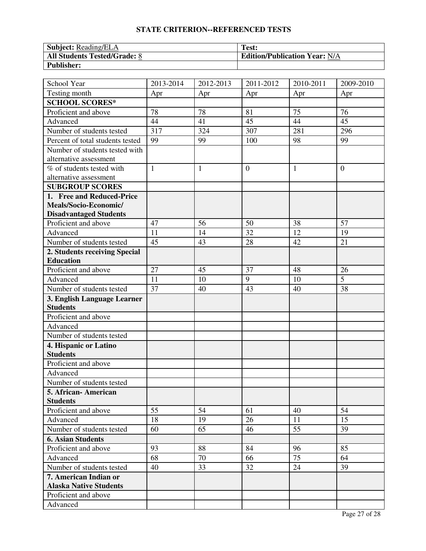| <b>Subject: Reading/ELA</b>         | Test:                                |
|-------------------------------------|--------------------------------------|
| <b>All Students Tested/Grade: 8</b> | <b>Edition/Publication Year: N/A</b> |
| <b>Publisher:</b>                   |                                      |

| School Year                              | 2013-2014    | 2012-2013    | 2011-2012      | 2010-2011 | 2009-2010      |
|------------------------------------------|--------------|--------------|----------------|-----------|----------------|
| Testing month                            | Apr          | Apr          | Apr            | Apr       | Apr            |
| <b>SCHOOL SCORES*</b>                    |              |              |                |           |                |
| Proficient and above                     | 78           | 78           | 81             | 75        | 76             |
| Advanced                                 | 44           | 41           | 45             | 44        | 45             |
| Number of students tested                | 317          | 324          | 307            | 281       | 296            |
| Percent of total students tested         | 99           | 99           | 100            | 98        | 99             |
| Number of students tested with           |              |              |                |           |                |
| alternative assessment                   |              |              |                |           |                |
| % of students tested with                | $\mathbf{1}$ | $\mathbf{1}$ | $\overline{0}$ | 1         | $\overline{0}$ |
| alternative assessment                   |              |              |                |           |                |
| <b>SUBGROUP SCORES</b>                   |              |              |                |           |                |
| 1. Free and Reduced-Price                |              |              |                |           |                |
| Meals/Socio-Economic/                    |              |              |                |           |                |
| <b>Disadvantaged Students</b>            |              |              |                |           |                |
| Proficient and above                     | 47           | 56           | 50             | 38        | 57             |
| Advanced                                 | 11           | 14           | 32             | 12        | 19             |
| Number of students tested                | 45           | 43           | 28             | 42        | 21             |
| 2. Students receiving Special            |              |              |                |           |                |
| <b>Education</b>                         |              |              |                |           |                |
| Proficient and above                     | 27           | 45           | 37             | 48        | 26             |
| Advanced                                 | 11           | 10           | 9              | 10        | $\overline{5}$ |
| Number of students tested                | 37           | 40           | 43             | 40        | 38             |
| 3. English Language Learner              |              |              |                |           |                |
| <b>Students</b>                          |              |              |                |           |                |
| Proficient and above                     |              |              |                |           |                |
| Advanced                                 |              |              |                |           |                |
| Number of students tested                |              |              |                |           |                |
| 4. Hispanic or Latino<br><b>Students</b> |              |              |                |           |                |
| Proficient and above                     |              |              |                |           |                |
| Advanced                                 |              |              |                |           |                |
| Number of students tested                |              |              |                |           |                |
| 5. African-American                      |              |              |                |           |                |
| <b>Students</b>                          |              |              |                |           |                |
| Proficient and above                     | 55           | 54           | 61             | 40        | 54             |
| Advanced                                 | 18           | 19           | 26             | 11        | 15             |
| Number of students tested                | 60           | 65           | 46             | 55        | 39             |
| <b>6. Asian Students</b>                 |              |              |                |           |                |
| Proficient and above                     | 93           | 88           | 84             | 96        | 85             |
| Advanced                                 | 68           | 70           | 66             | 75        | 64             |
| Number of students tested                | 40           | 33           | 32             | 24        | 39             |
| 7. American Indian or                    |              |              |                |           |                |
| <b>Alaska Native Students</b>            |              |              |                |           |                |
| Proficient and above                     |              |              |                |           |                |
| Advanced                                 |              |              |                |           |                |
|                                          |              |              |                |           |                |